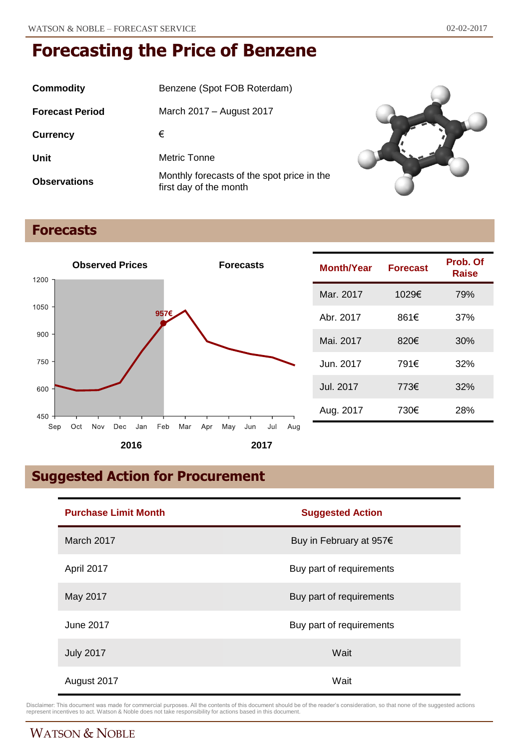| Commodity              | Benzene (Spot FOB Roterdam)                                          |
|------------------------|----------------------------------------------------------------------|
| <b>Forecast Period</b> | March 2017 – August 2017                                             |
| <b>Currency</b>        | €                                                                    |
| Unit                   | Metric Tonne                                                         |
| <b>Observations</b>    | Monthly forecasts of the spot price in the<br>first day of the month |



## **Forecasts**



| Month/Year | <b>Forecast</b> | Prob. Of<br>Raise |
|------------|-----------------|-------------------|
| Mar. 2017  | 1029€           | 79%               |
| Abr. 2017  | 861€            | 37%               |
| Mai. 2017  | 820€            | 30%               |
| Jun. 2017  | 791€            | 32%               |
| Jul. 2017  | 773€            | 32%               |
| Aug. 2017  | 730€            | 28%               |

# **Suggested Action for Procurement**

| <b>Purchase Limit Month</b> | <b>Suggested Action</b>  |
|-----------------------------|--------------------------|
| March 2017                  | Buy in February at 957€  |
| April 2017                  | Buy part of requirements |
| May 2017                    | Buy part of requirements |
| June 2017                   | Buy part of requirements |
| <b>July 2017</b>            | Wait                     |
| August 2017                 | Wait                     |

Disclaimer: This document was made for commercial purposes. All the contents of this document should be of the reader's consideration, so that none of the suggested actions<br>represent incentives to act. Watson & Noble does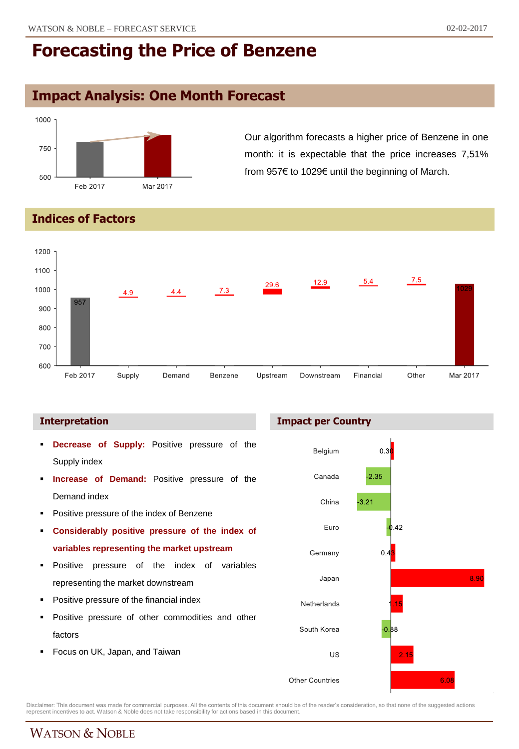## **Impact Analysis: One Month Forecast**



Our algorithm forecasts a higher price of Benzene in one month: it is expectable that the price increases 7,51% from 957€ to 1029€ until the beginning of March.

### **Indices of Factors**



### **Interpretation**

- **Decrease of Supply:** Positive pressure of the Supply index
- **Increase of Demand:** Positive pressure of the Demand index
- Positive pressure of the index of Benzene
- **Considerably positive pressure of the index of variables representing the market upstream**
- **Positive pressure of the index of variables** representing the market downstream
- Positive pressure of the financial index
- Positive pressure of other commodities and other factors
- Focus on UK, Japan, and Taiwan





Disclaimer: This document was made for commercial purposes. All the contents of this document should be of the reader's consideration, so that none of the suggested actions<br>represent incentives to act. Watson & Noble does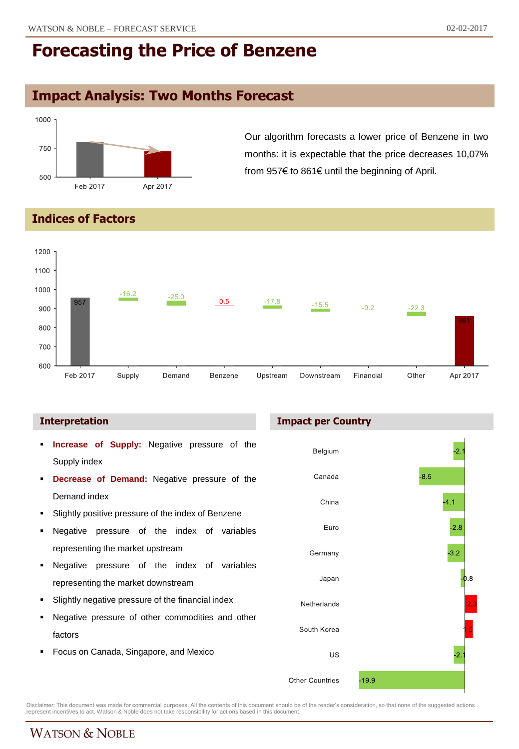## **Impact Analysis: Two Months Forecast**



Our algorithm forecasts a lower price of Benzene in two months: it is expectable that the price decreases 10,07% from 957€ to 861€ until the beginning of April.

### **Indices of Factors**



- **Increase of Supply:** Negative pressure of the Supply index
- **Decrease of Demand:** Negative pressure of the Demand index
- Slightly positive pressure of the index of Benzene
- Negative pressure of the index of variables representing the market upstream
- Negative pressure of the index of variables representing the market downstream
- Slightly negative pressure of the financial index
- Negative pressure of other commodities and other factors
- Focus on Canada, Singapore, and Mexico

### **Interpretation Impact per Country**



Disclaimer: This document was made for commercial purposes. All the contents of this document should be of the reader's consideration, so that none of the suggested actions<br>represent incentives to act. Watson & Noble does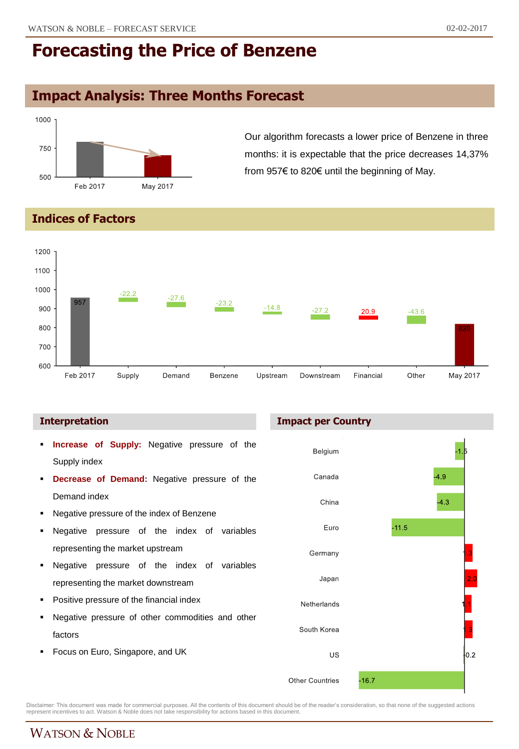# **Impact Analysis: Three Months Forecast**



Our algorithm forecasts a lower price of Benzene in three months: it is expectable that the price decreases 14,37% from 957€ to 820€ until the beginning of May.

### **Indices of Factors**



- **Increase of Supply:** Negative pressure of the Supply index
- **Decrease of Demand:** Negative pressure of the Demand index
- Negative pressure of the index of Benzene
- Negative pressure of the index of variables representing the market upstream
- Negative pressure of the index of variables representing the market downstream
- Positive pressure of the financial index
- Negative pressure of other commodities and other factors
- Focus on Euro, Singapore, and UK





Disclaimer: This document was made for commercial purposes. All the contents of this document should be of the reader's consideration, so that none of the suggested actions<br>represent incentives to act. Watson & Noble does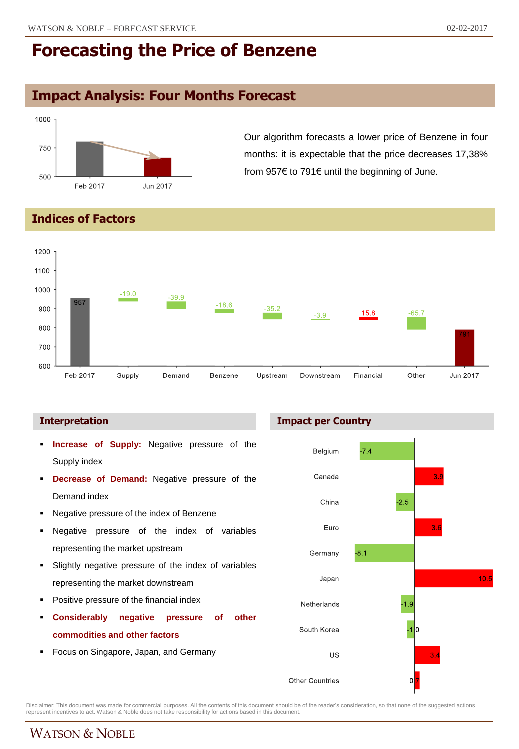# **Impact Analysis: Four Months Forecast**



Our algorithm forecasts a lower price of Benzene in four months: it is expectable that the price decreases 17,38% from 957€ to 791€ until the beginning of June.

### **Indices of Factors**



- **Increase of Supply:** Negative pressure of the Supply index
- **Decrease of Demand:** Negative pressure of the Demand index
- Negative pressure of the index of Benzene
- Negative pressure of the index of variables representing the market upstream
- Slightly negative pressure of the index of variables representing the market downstream
- Positive pressure of the financial index
- **Considerably negative pressure of other commodities and other factors**
- Focus on Singapore, Japan, and Germany





Disclaimer: This document was made for commercial purposes. All the contents of this document should be of the reader's consideration, so that none of the suggested actions<br>represent incentives to act. Watson & Noble does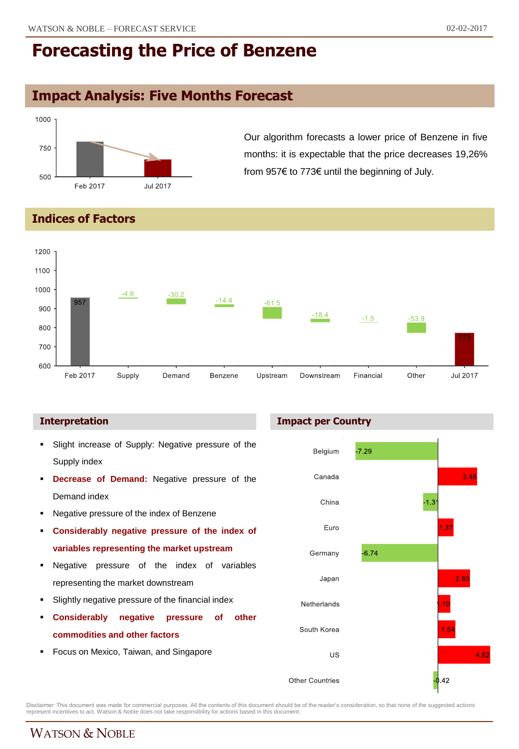# **Impact Analysis: Five Months Forecast**



Our algorithm forecasts a lower price of Benzene in five months: it is expectable that the price decreases 19,26% from 957€ to 773€ until the beginning of July.

### **Indices of Factors**



- Slight increase of Supply: Negative pressure of the Supply index
- **Decrease of Demand:** Negative pressure of the Demand index
- Negative pressure of the index of Benzene
- **Considerably negative pressure of the index of variables representing the market upstream**
- Negative pressure of the index of variables representing the market downstream
- Slightly negative pressure of the financial index
- **Considerably negative pressure of other commodities and other factors**
- Focus on Mexico, Taiwan, and Singapore

### **Interpretation Impact per Country**



Disclaimer: This document was made for commercial purposes. All the contents of this document should be of the reader's consideration, so that none of the suggested actions<br>represent incentives to act. Watson & Noble does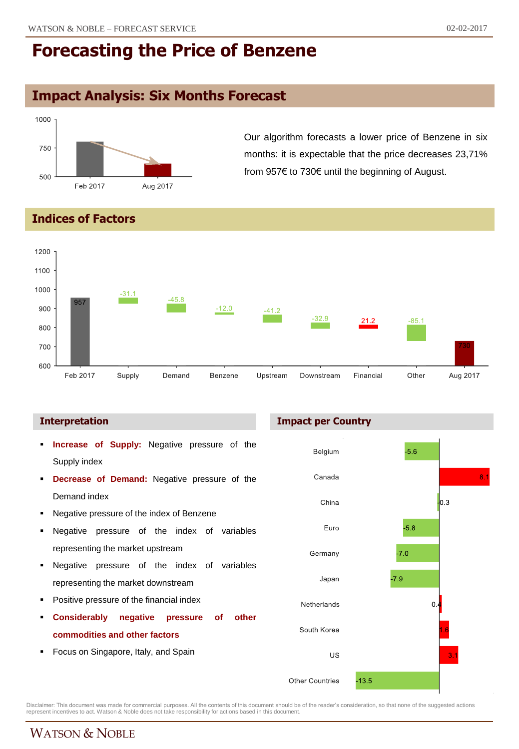## **Impact Analysis: Six Months Forecast**



Our algorithm forecasts a lower price of Benzene in six months: it is expectable that the price decreases 23,71% from 957€ to 730€ until the beginning of August.

### **Indices of Factors**



- **Increase of Supply:** Negative pressure of the Supply index
- **Decrease of Demand:** Negative pressure of the Demand index
- Negative pressure of the index of Benzene
- Negative pressure of the index of variables representing the market upstream
- Negative pressure of the index of variables representing the market downstream
- Positive pressure of the financial index
- **Considerably negative pressure of other commodities and other factors**
- Focus on Singapore, Italy, and Spain





Disclaimer: This document was made for commercial purposes. All the contents of this document should be of the reader's consideration, so that none of the suggested actions<br>represent incentives to act. Watson & Noble does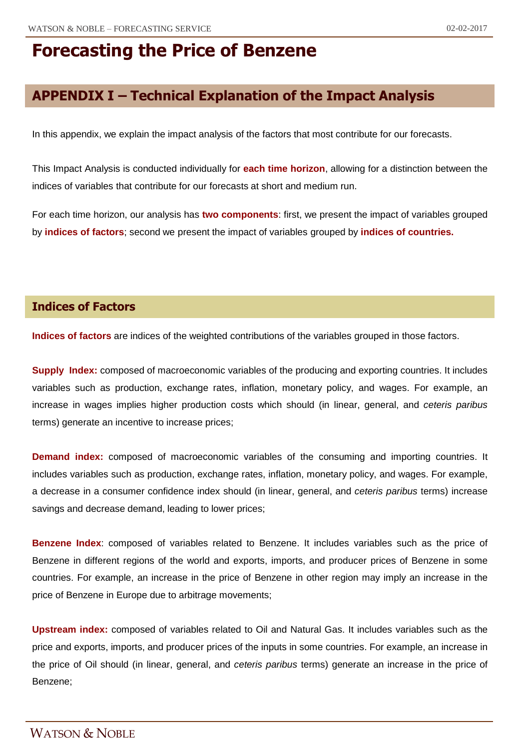# **APPENDIX I – Technical Explanation of the Impact Analysis**

In this appendix, we explain the impact analysis of the factors that most contribute for our forecasts.

This Impact Analysis is conducted individually for **each time horizon**, allowing for a distinction between the indices of variables that contribute for our forecasts at short and medium run.

For each time horizon, our analysis has **two components**: first, we present the impact of variables grouped by **indices of factors**; second we present the impact of variables grouped by **indices of countries.**

### **Indices of Factors**

**Indices of factors** are indices of the weighted contributions of the variables grouped in those factors.

**Supply Index:** composed of macroeconomic variables of the producing and exporting countries. It includes variables such as production, exchange rates, inflation, monetary policy, and wages. For example, an increase in wages implies higher production costs which should (in linear, general, and *ceteris paribus* terms) generate an incentive to increase prices;

**Demand index:** composed of macroeconomic variables of the consuming and importing countries. It includes variables such as production, exchange rates, inflation, monetary policy, and wages. For example, a decrease in a consumer confidence index should (in linear, general, and *ceteris paribus* terms) increase savings and decrease demand, leading to lower prices;

**Benzene Index**: composed of variables related to Benzene. It includes variables such as the price of Benzene in different regions of the world and exports, imports, and producer prices of Benzene in some countries. For example, an increase in the price of Benzene in other region may imply an increase in the price of Benzene in Europe due to arbitrage movements;

**Upstream index:** composed of variables related to Oil and Natural Gas. It includes variables such as the price and exports, imports, and producer prices of the inputs in some countries. For example, an increase in the price of Oil should (in linear, general, and *ceteris paribus* terms) generate an increase in the price of Benzene;